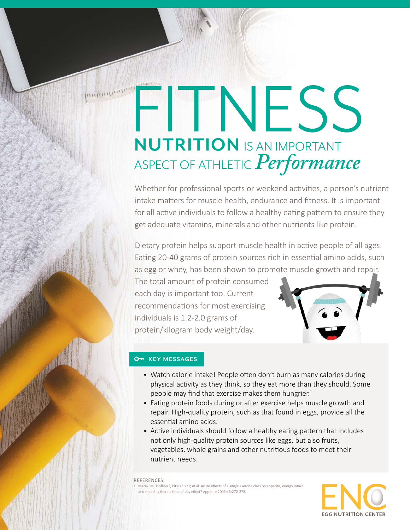# FITNESS **NUTRITION** IS AN IMPORTANT ASPECT OF ATHLETIC*Performance*

Whether for professional sports or weekend activities, a person's nutrient intake matters for muscle health, endurance and fitness. It is important for all active individuals to follow a healthy eating pattern to ensure they get adequate vitamins, minerals and other nutrients like protein.

Dietary protein helps support muscle health in active people of all ages. Eating 20-40 grams of protein sources rich in essential amino acids, such as egg or whey, has been shown to promote muscle growth and repair.

The total amount of protein consumed each day is important too. Current recommendations for most exercising individuals is 1.2-2.0 grams of protein/kilogram body weight/day.



### **O<sub>T</sub>** KEY MESSAGES

- Watch calorie intake! People often don't burn as many calories during physical activity as they think, so they eat more than they should. Some people may find that exercise makes them hungrier.<sup>1</sup>
- Eating protein foods during or after exercise helps muscle growth and repair. High-quality protein, such as that found in eggs, provide all the essential amino acids.
- Active individuals should follow a healthy eating pattern that includes not only high-quality protein sources like eggs, but also fruits, vegetables, whole grains and other nutritious foods to meet their nutrient needs.

REFERENCES: 1. Maraki M, Tsofliou F, Pitsiladis YP, et al. Acute effects of a single exercise class on appetite, energy intake and mood. Is there a time of day effect? Appetite 2005;45:272-278.